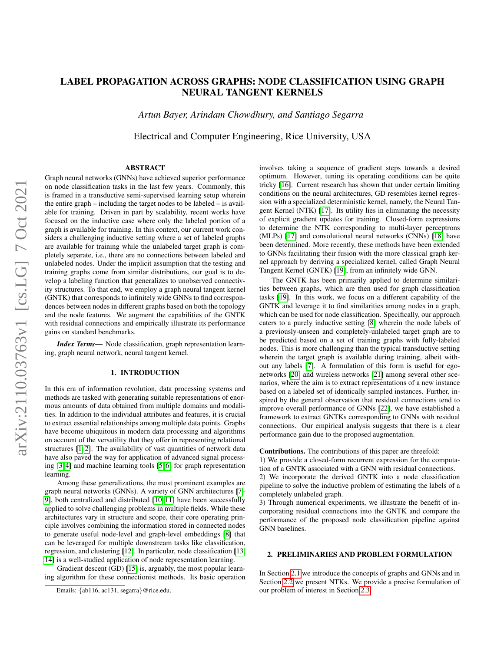# LABEL PROPAGATION ACROSS GRAPHS: NODE CLASSIFICATION USING GRAPH NEURAL TANGENT KERNELS

*Artun Bayer, Arindam Chowdhury, and Santiago Segarra*

Electrical and Computer Engineering, Rice University, USA

# ABSTRACT

arXiv:2110.03763v1 [cs.LG] 7 Oct 2021 arXiv:2110.03763v1 [cs.LG] 7 Oct 2021

Graph neural networks (GNNs) have achieved superior performance on node classification tasks in the last few years. Commonly, this is framed in a transductive semi-supervised learning setup wherein the entire graph – including the target nodes to be labeled – is available for training. Driven in part by scalability, recent works have focused on the inductive case where only the labeled portion of a graph is available for training. In this context, our current work considers a challenging inductive setting where a set of labeled graphs are available for training while the unlabeled target graph is completely separate, i.e., there are no connections between labeled and unlabeled nodes. Under the implicit assumption that the testing and training graphs come from similar distributions, our goal is to develop a labeling function that generalizes to unobserved connectivity structures. To that end, we employ a graph neural tangent kernel (GNTK) that corresponds to infinitely wide GNNs to find correspondences between nodes in different graphs based on both the topology and the node features. We augment the capabilities of the GNTK with residual connections and empirically illustrate its performance gains on standard benchmarks.

*Index Terms*— Node classification, graph representation learning, graph neural network, neural tangent kernel.

## 1. INTRODUCTION

In this era of information revolution, data processing systems and methods are tasked with generating suitable representations of enormous amounts of data obtained from multiple domains and modalities. In addition to the individual attributes and features, it is crucial to extract essential relationships among multiple data points. Graphs have become ubiquitous in modern data processing and algorithms on account of the versatility that they offer in representing relational structures [\[1,](#page-4-0) [2\]](#page-4-1). The availability of vast quantities of network data have also paved the way for application of advanced signal processing [\[3,](#page-4-2) [4\]](#page-4-3) and machine learning tools [\[5,](#page-4-4) [6\]](#page-4-5) for graph representation learning.

Among these generalizations, the most prominent examples are graph neural networks (GNNs). A variety of GNN architectures [\[7–](#page-4-6) [9\]](#page-4-7), both centralized and distributed [\[10,](#page-4-8) [11\]](#page-4-9) have been successfully applied to solve challenging problems in multiple fields. While these architectures vary in structure and scope, their core operating principle involves combining the information stored in connected nodes to generate useful node-level and graph-level embeddings [\[8\]](#page-4-10) that can be leveraged for multiple downstream tasks like classification, regression, and clustering [\[12\]](#page-4-11). In particular, node classification [\[13,](#page-4-12) [14\]](#page-4-13) is a well-studied application of node representation learning.

Gradient descent (GD) [\[15\]](#page-4-14) is, arguably, the most popular learning algorithm for these connectionist methods. Its basic operation involves taking a sequence of gradient steps towards a desired optimum. However, tuning its operating conditions can be quite tricky [\[16\]](#page-4-15). Current research has shown that under certain limiting conditions on the neural architectures, GD resembles kernel regression with a specialized deterministic kernel, namely, the Neural Tangent Kernel (NTK) [\[17\]](#page-4-16). Its utility lies in eliminating the necessity of explicit gradient updates for training. Closed-form expressions to determine the NTK corresponding to multi-layer perceptrons (MLPs) [\[17\]](#page-4-16) and convolutional neural networks (CNNs) [\[18\]](#page-4-17) have been determined. More recently, these methods have been extended to GNNs facilitating their fusion with the more classical graph kernel approach by deriving a specialized kernel, called Graph Neural Tangent Kernel (GNTK) [\[19\]](#page-4-18), from an infinitely wide GNN.

The GNTK has been primarily applied to determine similarities between graphs, which are then used for graph classification tasks [\[19\]](#page-4-18). In this work, we focus on a different capability of the GNTK and leverage it to find similarities among nodes in a graph, which can be used for node classification. Specifically, our approach caters to a purely inductive setting [\[8\]](#page-4-10) wherein the node labels of a previously-unseen and completely-unlabeled target graph are to be predicted based on a set of training graphs with fully-labeled nodes. This is more challenging than the typical transductive setting wherein the target graph is available during training, albeit without any labels [\[7\]](#page-4-6). A formulation of this form is useful for egonetworks [\[20\]](#page-4-19) and wireless networks [\[21\]](#page-4-20) among several other scenarios, where the aim is to extract representations of a new instance based on a labeled set of identically sampled instances. Further, inspired by the general observation that residual connections tend to improve overall performance of GNNs [\[22\]](#page-4-21), we have established a framework to extract GNTKs corresponding to GNNs with residual connections. Our empirical analysis suggests that there is a clear performance gain due to the proposed augmentation.

Contributions. The contributions of this paper are threefold: 1) We provide a closed-form recurrent expression for the computa-

tion of a GNTK associated with a GNN with residual connections. 2) We incorporate the derived GNTK into a node classification pipeline to solve the inductive problem of estimating the labels of a completely unlabeled graph.

3) Through numerical experiments, we illustrate the benefit of incorporating residual connections into the GNTK and compare the performance of the proposed node classification pipeline against GNN baselines.

## 2. PRELIMINARIES AND PROBLEM FORMULATION

In Section [2.1](#page-1-0) we introduce the concepts of graphs and GNNs and in Section [2.2](#page-1-1) we present NTKs. We provide a precise formulation of our problem of interest in Section [2.3.](#page-1-2)

Emails: {ab116, ac131, segarra}@rice.edu.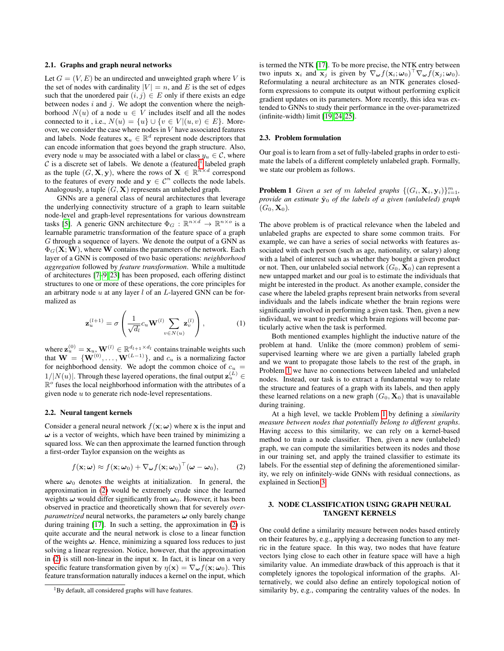#### <span id="page-1-0"></span>2.1. Graphs and graph neural networks

Let  $G = (V, E)$  be an undirected and unweighted graph where V is the set of nodes with cardinality  $|V| = n$ , and E is the set of edges such that the unordered pair  $(i, j) \in E$  only if there exists an edge between nodes  $i$  and  $j$ . We adopt the convention where the neighborhood  $N(u)$  of a node  $u \in V$  includes itself and all the nodes connected to it, i.e.,  $N(u) = \{u\} \cup \{v \in V | (u, v) \in E\}$ . Moreover, we consider the case where nodes in V have associated features and labels. Node features  $\mathbf{x}_u \in \mathbb{R}^d$  represent node descriptors that can encode information that goes beyond the graph structure. Also, every node u may be associated with a label or class  $y_u \in \mathcal{C}$ , where  $\mathcal C$  is a discrete set of labels. We denote a (featured)<sup>[1](#page-1-3)</sup> labeled graph as the tuple  $(G, \mathbf{X}, \mathbf{y})$ , where the rows of  $\mathbf{X} \in \mathbb{R}^{n \times d}$  correspond to the features of every node and  $y \in \mathcal{C}^n$  collects the node labels. Analogously, a tuple  $(G, X)$  represents an unlabeled graph.

GNNs are a general class of neural architectures that leverage the underlying connectivity structure of a graph to learn suitable node-level and graph-level representations for various downstream tasks [\[5\]](#page-4-4). A generic GNN architecture  $\Phi_G : \mathbb{R}^{n \times d} \to \mathbb{R}^{n \times o}$  is a learnable parametric transformation of the feature space of a graph G through a sequence of layers. We denote the output of a GNN as  $\Phi_G(X;W)$ , where W contains the parameters of the network. Each layer of a GNN is composed of two basic operations: *neighborhood aggregation* followed by *feature transformation*. While a multitude of architectures [\[7](#page-4-6)[–9,](#page-4-7) [23\]](#page-4-22) has been proposed, each offering distinct structures to one or more of these operations, the core principles for an arbitrary node  $u$  at any layer  $l$  of an  $L$ -layered GNN can be formalized as

$$
\mathbf{z}_{u}^{(l+1)} = \sigma \left( \frac{1}{\sqrt{d_l}} c_u \mathbf{W}^{(l)} \sum_{v \in N(u)} \mathbf{z}_v^{(l)} \right), \tag{1}
$$

where  $\mathbf{z}_{u}^{(0)} = \mathbf{x}_{u}, \mathbf{W}^{(l)} \in \mathbb{R}^{d_{l+1} \times d_{l}}$  contains trainable weights such that  $\mathbf{W} = \{ \mathbf{W}^{(0)}, \dots, \mathbf{W}^{(L-1)} \}$ , and  $c_u$  is a normalizing factor for neighborhood density. We adopt the common choice of  $c_u$  =  $1/|N(u)|$ . Through these layered operations, the final output  $\mathbf{z}_u^{(L)} \in$  $\mathbb{R}^{\circ}$  fuses the local neighborhood information with the attributes of a given node  $u$  to generate rich node-level representations.

#### <span id="page-1-1"></span>2.2. Neural tangent kernels

Consider a general neural network  $f(\mathbf{x}; \omega)$  where x is the input and  $\omega$  is a vector of weights, which have been trained by minimizing a squared loss. We can then approximate the learned function through a first-order Taylor expansion on the weights as

<span id="page-1-4"></span>
$$
f(\mathbf{x};\boldsymbol{\omega}) \approx f(\mathbf{x};\boldsymbol{\omega}_0) + \nabla_{\boldsymbol{\omega}} f(\mathbf{x};\boldsymbol{\omega}_0)^\top (\boldsymbol{\omega} - \boldsymbol{\omega}_0),
$$
 (2)

where  $\omega_0$  denotes the weights at initialization. In general, the approximation in [\(2\)](#page-1-4) would be extremely crude since the learned weights  $\omega$  would differ significantly from  $\omega_0$ . However, it has been observed in practice and theoretically shown that for severely *overparametrized* neural networks, the parameters  $\omega$  only barely change during training [\[17\]](#page-4-16). In such a setting, the approximation in [\(2\)](#page-1-4) is quite accurate and the neural network is close to a linear function of the weights  $\omega$ . Hence, minimizing a squared loss reduces to just solving a linear regression. Notice, however, that the approximation in [\(2\)](#page-1-4) is still non-linear in the input x. In fact, it is linear on a very specific feature transformation given by  $\eta(\mathbf{x}) = \nabla_{\boldsymbol{\omega}} f(\mathbf{x}; \boldsymbol{\omega}_0)$ . This feature transformation naturally induces a kernel on the input, which

is termed the NTK [\[17\]](#page-4-16). To be more precise, the NTK entry between two inputs  $\mathbf{x}_i$  and  $\mathbf{x}_j$  is given by  $\nabla_{\boldsymbol{\omega}} f(\mathbf{x}_i; \boldsymbol{\omega}_0)^\top \nabla_{\boldsymbol{\omega}} \dot{f}(\mathbf{x}_j; \boldsymbol{\omega}_0)$ . Reformulating a neural architecture as an NTK generates closedform expressions to compute its output without performing explicit gradient updates on its parameters. More recently, this idea was extended to GNNs to study their performance in the over-parametrized (infinite-width) limit [\[19,](#page-4-18) [24,](#page-4-23) [25\]](#page-4-24).

#### <span id="page-1-2"></span>2.3. Problem formulation

Our goal is to learn from a set of fully-labeled graphs in order to estimate the labels of a different completely unlabeled graph. Formally, we state our problem as follows.

<span id="page-1-5"></span>**Problem 1** *Given a set of m labeled graphs*  $\{(G_i, \mathbf{X}_i, \mathbf{y}_i)\}_{i=1}^m$ , *provide an estimate*  $\hat{y}_0$  *of the labels of a given (unlabeled) graph*  $(G_0, X_0)$ .

The above problem is of practical relevance when the labeled and unlabeled graphs are expected to share some common traits. For example, we can have a series of social networks with features associated with each person (such as age, nationality, or salary) along with a label of interest such as whether they bought a given product or not. Then, our unlabeled social network  $(G_0, \mathbf{X}_0)$  can represent a new untapped market and our goal is to estimate the individuals that might be interested in the product. As another example, consider the case where the labeled graphs represent brain networks from several individuals and the labels indicate whether the brain regions were significantly involved in performing a given task. Then, given a new individual, we want to predict which brain regions will become particularly active when the task is performed.

<span id="page-1-7"></span>Both mentioned examples highlight the inductive nature of the problem at hand. Unlike the (more common) problem of semisupervised learning where we are given a partially labeled graph and we want to propagate those labels to the rest of the graph, in Problem [1](#page-1-5) we have no connections between labeled and unlabeled nodes. Instead, our task is to extract a fundamental way to relate the structure and features of a graph with its labels, and then apply these learned relations on a new graph  $(G_0, \mathbf{X}_0)$  that is unavailable during training.

At a high level, we tackle Problem [1](#page-1-5) by defining a *similarity measure between nodes that potentially belong to different graphs*. Having access to this similarity, we can rely on a kernel-based method to train a node classifier. Then, given a new (unlabeled) graph, we can compute the similarities between its nodes and those in our training set, and apply the trained classifier to estimate its labels. For the essential step of defining the aforementioned similarity, we rely on infinitely-wide GNNs with residual connections, as explained in Section [3.](#page-1-6)

# <span id="page-1-6"></span>3. NODE CLASSIFICATION USING GRAPH NEURAL TANGENT KERNELS

One could define a similarity measure between nodes based entirely on their features by, e.g., applying a decreasing function to any metric in the feature space. In this way, two nodes that have feature vectors lying close to each other in feature space will have a high similarity value. An immediate drawback of this approach is that it completely ignores the topological information of the graphs. Alternatively, we could also define an entirely topological notion of similarity by, e.g., comparing the centrality values of the nodes. In

<span id="page-1-3"></span><sup>&</sup>lt;sup>1</sup>By default, all considered graphs will have features.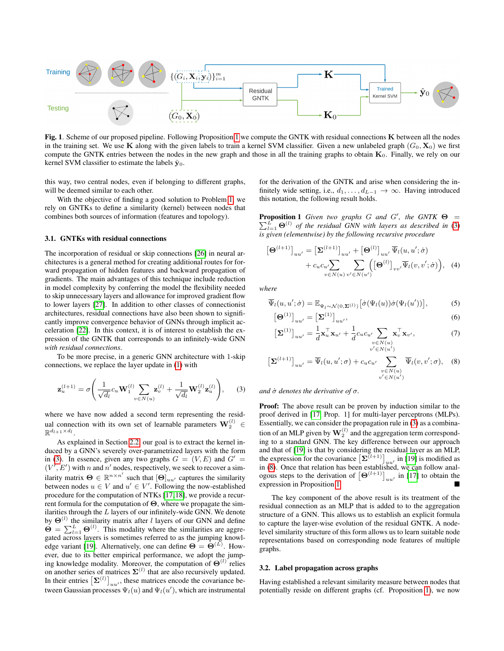

Fig. 1. Scheme of our proposed pipeline. Following Proposition [1](#page-2-0) we compute the GNTK with residual connections K between all the nodes in the training set. We use K along with the given labels to train a kernel SVM classifier. Given a new unlabeled graph  $(G_0, X_0)$  we first compute the GNTK entries between the nodes in the new graph and those in all the training graphs to obtain  $K_0$ . Finally, we rely on our kernel SVM classifier to estimate the labels  $\hat{y}_0$ .

this way, two central nodes, even if belonging to different graphs, will be deemed similar to each other.

With the objective of finding a good solution to Problem [1,](#page-1-5) we rely on GNTKs to define a similarity (kernel) between nodes that combines both sources of information (features and topology).

### 3.1. GNTKs with residual connections

The incorporation of residual or skip connections [\[26\]](#page-4-25) in neural architectures is a general method for creating additional routes for forward propagation of hidden features and backward propagation of gradients. The main advantages of this technique include reduction in model complexity by conferring the model the flexibility needed to skip unnecessary layers and allowance for improved gradient flow to lower layers [\[27\]](#page-4-26). In addition to other classes of connectionist architectures, residual connections have also been shown to significantly improve convergence behavior of GNNs through implicit acceleration [\[22\]](#page-4-21). In this context, it is of interest to establish the expression of the GNTK that corresponds to an infinitely-wide GNN *with residual connections*.

To be more precise, in a generic GNN architecture with 1-skip connections, we replace the layer update in [\(1\)](#page-1-7) with

$$
\mathbf{z}_{u}^{(l+1)} = \sigma \left( \frac{1}{\sqrt{d_l}} c_u \mathbf{W}_1^{(l)} \sum_{v \in N(u)} \mathbf{z}_v^{(l)} + \frac{1}{\sqrt{d_l}} \mathbf{W}_2^{(l)} \mathbf{z}_u^{(l)} \right), \quad (3)
$$

where we have now added a second term representing the residual connection with its own set of learnable parameters  $\mathbf{W}_2^{(l)} \in$  $\mathbb{R}^{d_{l+1} \times d_l}$ .

As explained in Section [2.2,](#page-1-1) our goal is to extract the kernel induced by a GNN's severely over-parametrized layers with the form in [\(3\)](#page-2-1). In essence, given any two graphs  $G = (V, E)$  and  $G' =$  $(V', E')$  with n and n' nodes, respectively, we seek to recover a similarity matrix  $\Theta \in \mathbb{R}^{n \times n'}$  such that  $[\Theta]_{uu'}$  captures the similarity between nodes  $u \in V$  and  $u' \in V'$ . Following the now-established procedure for the computation of NTKs [\[17,](#page-4-16)[18\]](#page-4-17), we provide a recurrent formula for the computation of  $\Theta$ , where we propagate the similarities through the  $L$  layers of our infinitely-wide GNN. We denote by  $\Theta^{(l)}$  the similarity matrix after *l* layers of our GNN and define  $\dot{\mathbf{\Theta}} = \sum_{l=1}^{L} \mathbf{\Theta}^{(l)}$ . This modality where the similarities are aggregated across layers is sometimes referred to as the jumping knowl-edge variant [\[19\]](#page-4-18). Alternatively, one can define  $\Theta = \Theta^{(L)}$ . However, due to its better empirical performance, we adopt the jumping knowledge modality. Moreover, the computation of  $\Theta^{(l)}$  relies on another series of matrices  $\Sigma^{(l)}$  that are also recursively updated. In their entries  $\left[\mathbf{\Sigma}^{(l)}\right]_{uu}$ , these matrices encode the covariance between Gaussian processes  $\Psi_l(u)$  and  $\Psi_l(u')$ , which are instrumental <span id="page-2-4"></span>for the derivation of the GNTK and arise when considering the infinitely wide setting, i.e.,  $d_1, \ldots, d_{L-1} \rightarrow \infty$ . Having introduced this notation, the following result holds.

<span id="page-2-0"></span>**Proposition 1** *Given two graphs G and G'*, *the GNTK*  $\Theta$  =  $\sum_{l=1}^{L} \Theta^{(l)}$  of the residual GNN with layers as described in [\(3\)](#page-2-1) *is given (elementwise) by the following recursive procedure*

<span id="page-2-3"></span>
$$
\begin{aligned} \left[\mathbf{\Theta}^{(l+1)}\right]_{uu'} &= \left[\mathbf{\Sigma}^{(l+1)}\right]_{uu'} + \left[\mathbf{\Theta}^{(l)}\right]_{uu'} \overline{\Psi}_l(u, u'; \dot{\sigma}) \\ &+ c_u c_{u'} \sum_{v \in N(u)} \sum_{v' \in N(u')} \left(\left[\mathbf{\Theta}^{(l)}\right]_{vv'} \overline{\Psi}_l(v, v'; \dot{\sigma})\right), \quad (4) \end{aligned}
$$

*where*

$$
\overline{\Psi}_l(u, u'; \dot{\sigma}) = \mathbb{E}_{\Psi_l \sim \mathcal{N}(0, \Sigma^{(l)})} \left[ \dot{\sigma}(\Psi_l(u)) \dot{\sigma}(\Psi_l(u')) \right],\tag{5}
$$

$$
\left[\mathbf{\Theta}^{(1)}\right]_{uu'} = \left[\mathbf{\Sigma}^{(1)}\right]_{uu'},\tag{6}
$$

<span id="page-2-2"></span>
$$
\left[\mathbf{\Sigma}^{(1)}\right]_{uu'} = \frac{1}{d}\mathbf{x}_u^{\top}\mathbf{x}_{u'} + \frac{1}{d}c_u c_{u'} \sum_{\substack{v \in N(u) \\ v' \in N(u')}} \mathbf{x}_v^{\top}\mathbf{x}_{v'}, \tag{7}
$$

$$
\left[\mathbf{\Sigma}^{(l+1)}\right]_{uu'} = \overline{\Psi}_l(u, u'; \sigma) + c_u c_{u'} \sum_{\substack{v \in N(u) \\ v' \in N(u')}} \overline{\Psi}_l(v, v'; \sigma), \quad (8)
$$

#### <span id="page-2-1"></span>*and* σ˙ *denotes the derivative of* σ*.*

Proof: The above result can be proven by induction similar to the proof derived in [\[17,](#page-4-16) Prop. 1] for multi-layer perceptrons (MLPs). Essentially, we can consider the propagation rule in [\(3\)](#page-2-1) as a combination of an MLP given by  $\mathbf{W}_2^{(l)}$  and the aggregation term corresponding to a standard GNN. The key difference between our approach and that of [\[19\]](#page-4-18) is that by considering the residual layer as an MLP, the expression for the covariance  $\left[\Sigma^{(l+1)}\right]_{uu'}$  in [\[19\]](#page-4-18) is modified as in [\(8\)](#page-2-2). Once that relation has been established, we can follow analogous steps to the derivation of  $[\Theta^{(l+1)}]_{uu'}$  in [\[17\]](#page-4-16) to obtain the  $\blacksquare$ expression in Proposition [1.](#page-2-0)

The key component of the above result is its treatment of the residual connection as an MLP that is added to to the aggregation structure of a GNN. This allows us to establish an explicit formula to capture the layer-wise evolution of the residual GNTK. A nodelevel similarity structure of this form allows us to learn suitable node representations based on corresponding node features of multiple graphs.

# 3.2. Label propagation across graphs

Having established a relevant similarity measure between nodes that potentially reside on different graphs (cf. Proposition [1\)](#page-2-0), we now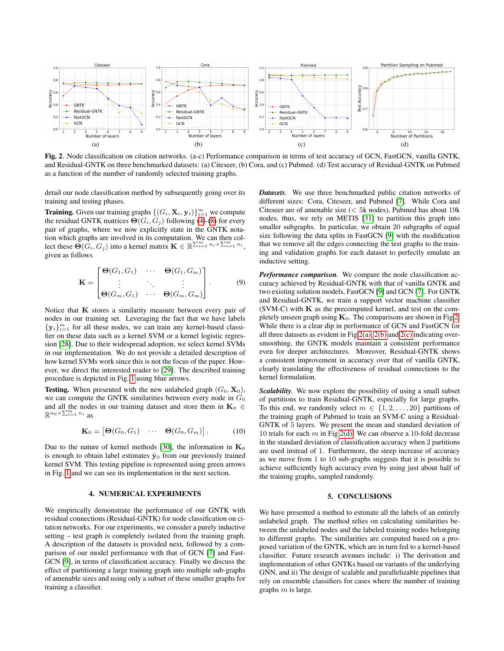<span id="page-3-1"></span>

<span id="page-3-2"></span>Fig. 2. Node classification on citation networks. (a-c) Performance comparison in terms of test accuracy of GCN, FastGCN, vanilla GNTK, and Residual-GNTK on three benchmarked datasets: (a) Citeseer, (b) Cora, and (c) Pubmed. (d) Test accuracy of Residual-GNTK on Pubmed as a function of the number of randomly selected training graphs.

detail our node classification method by subsequently going over its training and testing phases.

**Training.** Given our training graphs  $\{(G_i, \mathbf{X}_i, \mathbf{y}_i)\}_{i=1}^m$  we compute the residual GNTK matrices  $\Theta(G_i, G_j)$  following [\(4\)](#page-2-3)-[\(8\)](#page-2-2) for every pair of graphs, where we now explicitly state in the GNTK notation which graphs are involved in its computation. We can then collect these  $\Theta(G_i, G_j)$  into a kernel matrix  $\mathbf{K} \in \mathbb{R}^{\sum_{i=1}^{m} n_i \times \sum_{i=1}^{m} n_i}$ , given as follows

$$
\mathbf{K} = \begin{bmatrix} \mathbf{\Theta}(G_1, G_1) & \cdots & \mathbf{\Theta}(G_1, G_m) \\ \vdots & \ddots & \vdots \\ \mathbf{\Theta}(G_m, G_1) & \cdots & \mathbf{\Theta}(G_m, G_m) \end{bmatrix} .
$$
 (9)

Notice that  $K$  stores a similarity measure between every pair of nodes in our training set. Leveraging the fact that we have labels  ${y_i}_{i=1}^m$  for all these nodes, we can train any kernel-based classifier on these data such as a kernel SVM or a kernel logistic regression [\[28\]](#page-4-27). Due to their widespread adoption, we select kernel SVMs in our implementation. We do not provide a detailed description of how kernel SVMs work since this is not the focus of the paper. However, we direct the interested reader to [\[29\]](#page-4-28). The described training procedure is depicted in Fig. [1](#page-2-4) using blue arrows.

**Testing.** When presented with the new unlabeled graph  $(G_0, \mathbf{X}_0)$ , we can compute the GNTK similarities between every node in  $G_0$ and all the nodes in our training dataset and store them in  $\mathbf{K}_0 \in$  $\mathbb{R}^{n_0\times\sum_{i=1}^m n_i}$  as

$$
\mathbf{K}_0 = \begin{bmatrix} \mathbf{\Theta}(G_0, G_1) & \cdots & \mathbf{\Theta}(G_0, G_m) \end{bmatrix} . \tag{10}
$$

Due to the nature of kernel methods [\[30\]](#page-4-29), the information in  $\mathbf{K}_0$ is enough to obtain label estimates  $\hat{y}_0$  from our previously trained kernel SVM. This testing pipeline is represented using green arrows in Fig. [1](#page-2-4) and we can see its implementation in the next section.

## 4. NUMERICAL EXPERIMENTS

We empirically demonstrate the performance of our GNTK with residual connections (Residual-GNTK) for node classification on citation networks. For our experiments, we consider a purely inductive setting – test graph is completely isolated from the training graph. A description of the datasets is provided next, followed by a comparison of our model performance with that of GCN [\[7\]](#page-4-6) and Fast-GCN [\[9\]](#page-4-7), in terms of classification accuracy. Finally we discuss the effect of partitioning a large training graph into multiple sub-graphs of amenable sizes and using only a subset of these smaller graphs for training a classifier.

<span id="page-3-4"></span><span id="page-3-3"></span><span id="page-3-0"></span>*Datasets.* We use three benchmarked public citation networks of different sizes: Cora, Citeseer, and Pubmed [\[7\]](#page-4-6). While Cora and Citeseer are of amenable size  $(< 5k$  nodes), Pubmed has about 19 $k$ nodes, thus, we rely on METIS [\[31\]](#page-4-30) to partition this graph into smaller subgraphs. In particular, we obtain 20 subgraphs of equal size following the data splits in FastGCN [\[9\]](#page-4-7) with the modification that we remove all the edges connecting the test graphs to the training and validation graphs for each dataset to perfectly emulate an inductive setting.

*Performance comparison.* We compare the node classification accuracy achieved by Residual-GNTK with that of vanilla GNTK and two existing solution models, FastGCN [\[9\]](#page-4-7) and GCN [\[7\]](#page-4-6). For GNTK and Residual-GNTK, we train a support vector machine classifier  $(SVM-C)$  with  $K$  as the precomputed kernel, and test on the completely unseen graph using  $\mathbf{K}_0$ . The comparisons are shown in Fig [2.](#page-3-0) While there is a clear dip in performance of GCN and FastGCN for all three datasets as evident in Fig [2\(a\),](#page-3-1) [2\(b\)](#page-3-2) and [2\(c\)](#page-3-3) indicating oversmoothing, the GNTK models maintain a consistent performance even for deeper architectures. Moreover, Residual-GNTK shows a consistent improvement in accuracy over that of vanilla GNTK, clearly translating the effectiveness of residual connections to the kernel formulation.

*Scalability.* We now explore the possibility of using a small subset of partitions to train Residual-GNTK, especially for large graphs. To this end, we randomly select  $m \in \{1, 2, \ldots, 20\}$  partitions of the training graph of Pubmed to train an SVM-C using a Residual-GNTK of 5 layers. We present the mean and standard deviation of 10 trials for each  $m$  in Fig [2\(d\).](#page-3-4) We can observe a 10-fold decrease in the standard deviation of classification accuracy when 2 partitions are used instead of 1. Furthermore, the steep increase of accuracy as we move from 1 to 10 sub-graphs suggests that it is possible to achieve sufficiently high accuracy even by using just about half of the training graphs, sampled randomly.

# 5. CONCLUSIONS

We have presented a method to estimate all the labels of an entirely unlabeled graph. The method relies on calculating similarities between the unlabeled nodes and the labeled training nodes belonging to different graphs. The similarities are computed based on a proposed variation of the GNTK, which are in turn fed to a kernel-based classifier. Future research avenues include: i) The derivation and implementation of other GNTKs based on variants of the underlying GNN, and ii) The design of scalable and parallelizable pipelines that rely on ensemble classifiers for cases where the number of training graphs  $m$  is large.